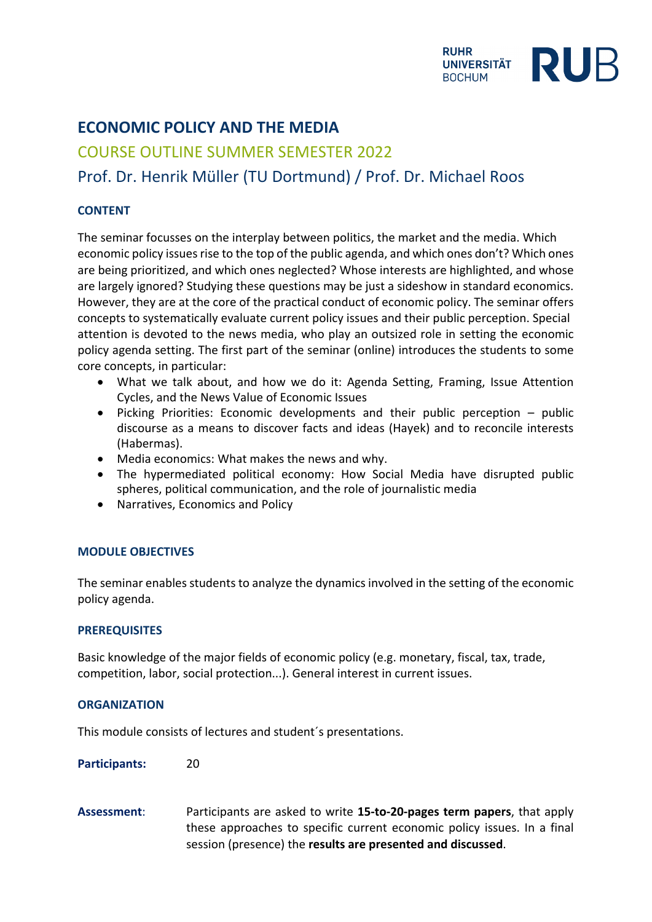

# **ECONOMIC POLICY AND THE MEDIA**

## COURSE OUTLINE SUMMER SEMESTER 2022

### Prof. Dr. Henrik Müller (TU Dortmund) / Prof. Dr. Michael Roos

### **CONTENT**

The seminar focusses on the interplay between politics, the market and the media. Which economic policy issues rise to the top of the public agenda, and which ones don't? Which ones are being prioritized, and which ones neglected? Whose interests are highlighted, and whose are largely ignored? Studying these questions may be just a sideshow in standard economics. However, they are at the core of the practical conduct of economic policy. The seminar offers concepts to systematically evaluate current policy issues and their public perception. Special attention is devoted to the news media, who play an outsized role in setting the economic policy agenda setting. The first part of the seminar (online) introduces the students to some core concepts, in particular:

- What we talk about, and how we do it: Agenda Setting, Framing, Issue Attention Cycles, and the News Value of Economic Issues
- Picking Priorities: Economic developments and their public perception public discourse as a means to discover facts and ideas (Hayek) and to reconcile interests (Habermas).
- Media economics: What makes the news and why.
- The hypermediated political economy: How Social Media have disrupted public spheres, political communication, and the role of journalistic media
- Narratives, Economics and Policy

#### **MODULE OBJECTIVES**

The seminar enables students to analyze the dynamics involved in the setting of the economic policy agenda.

#### **PREREQUISITES**

Basic knowledge of the major fields of economic policy (e.g. monetary, fiscal, tax, trade, competition, labor, social protection...). General interest in current issues.

#### **ORGANIZATION**

This module consists of lectures and student´s presentations.

Participants: 20

**Assessment**: Participants are asked to write **15-to-20-pages term papers**, that apply these approaches to specific current economic policy issues. In a final session (presence) the **results are presented and discussed**.